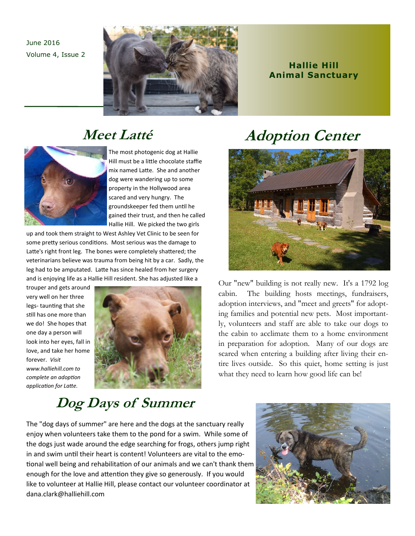June 2016 Volume 4, Issue 2



### **Hallie Hill Animal Sanctuary**

## Meet Latté



The most photogenic dog at Hallie Hill must be a little chocolate staffie mix named Latte. She and another dog were wandering up to some property in the Hollywood area scared and very hungry. The groundskeeper fed them until he gained their trust, and then he called Hallie Hill. We picked the two girls

up and took them straight to West Ashley Vet Clinic to be seen for some pretty serious conditions. Most serious was the damage to Latte's right front leg. The bones were completely shattered; the veterinarians believe was trauma from being hit by a car. Sadly, the leg had to be amputated. Latte has since healed from her surgery and is enjoying life as a Hallie Hill resident. She has adjusted like a

trouper and gets around very well on her three legs-taunting that she still has one more than we do! She hopes that one day a person will look into her eyes, fall in love, and take her home forever. Visit www.halliehill.com to complete an adoption application for Latte.



# **Adoption Center**



Our "new" building is not really new. It's a 1792 log cabin. The building hosts meetings, fundraisers, adoption interviews, and "meet and greets" for adopting families and potential new pets. Most importantly, volunteers and staff are able to take our dogs to the cabin to acclimate them to a home environment in preparation for adoption. Many of our dogs are scared when entering a building after living their entire lives outside. So this quiet, home setting is just what they need to learn how good life can be!

## Dog Days of Summer

The "dog days of summer" are here and the dogs at the sanctuary really enjoy when volunteers take them to the pond for a swim. While some of the dogs just wade around the edge searching for frogs, others jump right in and swim until their heart is content! Volunteers are vital to the emotional well being and rehabilitation of our animals and we can't thank them enough for the love and attention they give so generously. If you would like to volunteer at Hallie Hill, please contact our volunteer coordinator at dana.clark@halliehill.com